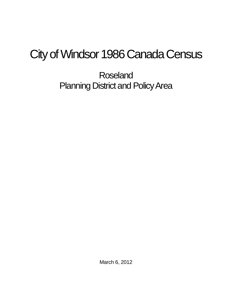## City of Windsor 1986 Canada Census

Roseland Planning District and Policy Area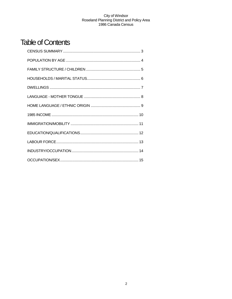## **Table of Contents**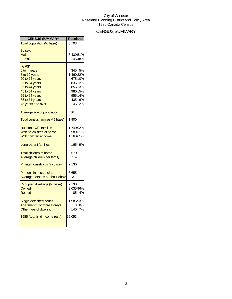## CENSUS SUMMARY

| <b>CENSUS SUMMARY</b>          | Roseland  |         |
|--------------------------------|-----------|---------|
| Total population (% base)      | 6,703     |         |
| By sex:                        |           |         |
| <b>Male</b>                    | 3,43051%  |         |
| Female                         | 3,24548%  |         |
| By age:                        |           |         |
| 0 to 4 years                   |           | 345 5%  |
| 5 to 19 years                  | 1,460 22% |         |
| 20 to 24 years                 |           | 675 10% |
| 25 to 34 years                 |           | 835 12% |
| 35 to 44 years                 |           | 855 13% |
| 45 to 54 years                 |           | 980 15% |
| 55 to 64 years                 |           | 955 14% |
| 65 to 74 years                 |           | 435 6%  |
| 75 years and over              |           | 145 2%  |
| Average age of population      | 36.4      |         |
| Total census families (% base) | 1,900     |         |
| <b>Husband-wife families</b>   | 1,740 92% |         |
| With no children at home       |           | 58031%  |
| With children at home          | 1,16061%  |         |
| Lone-parent families           |           | 165 9%  |
| <b>Total children at home</b>  | 2,570     |         |
| Average children per family    | 1.4       |         |
| Private households (% base)    | 2,130     |         |
| <b>Persons in households</b>   | 6,655     |         |
| Average persons per household  | 3.1       |         |
| Occupied dwellings (% base)    | 2,130     |         |
| Owned                          | 2,035 96% |         |
| Rented                         |           | 85 4%   |
| Single detached house          | 1,98593%  |         |
| Apartment 5 or more storeys    | 01        | 0%      |
| Other type of dwelling         | 140       | 7%      |
| 1985 Avg. hhld income (est.)   | 52,053    |         |
|                                |           |         |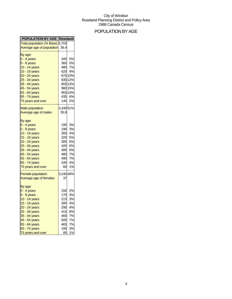## POPULATION BY AGE

| <b>POPULATION BY AGE   Roseland</b> |                        |  |
|-------------------------------------|------------------------|--|
| Total population (% Base) 6,703     |                        |  |
| Average age of population 36.4      |                        |  |
| By age:                             |                        |  |
| $0 - 4$ years                       | 345<br>5%              |  |
| $5 - 9$ years                       | 360<br>5%              |  |
| 10 - 14 years                       | 480 7%                 |  |
| 15 - 19 years                       | 620 9%                 |  |
| $20 - 24$ years                     | 675 10%                |  |
| 25 - 34 years                       | 835 12%                |  |
| 35 - 44 years                       | 855 13%                |  |
| 45 - 54 years                       | 980 15%                |  |
| 55 - 64 years                       | 955 14%                |  |
| 65 - 74 years                       | 435 6%                 |  |
| 75 years and over                   | 145<br>2%              |  |
|                                     |                        |  |
| <b>Male population</b>              | 3,430 51%              |  |
| Average age of males                | 35.8                   |  |
|                                     |                        |  |
| By age:                             | 195<br>3%              |  |
| $0 - 4$ years                       | 190                    |  |
| 5 - 9 years                         | 3%                     |  |
| 10 - 14 years                       | 265<br>4%              |  |
| 15 - 19 years                       | 320<br>5%              |  |
| 20 - 24 years                       | 385<br>6%<br>420<br>6% |  |
| 25 - 34 years                       | 395<br>6%              |  |
| 35 - 44 years<br>45 - 54 years      | 480<br>7%              |  |
| 55 - 64 years                       | 490<br>7%              |  |
| 65 - 74 years                       | 240<br>4%              |  |
| 75 years and over                   | 1%<br>60               |  |
|                                     |                        |  |
| <b>Female population</b>            | 3,245 48%              |  |
| Average age of females              | 37                     |  |
|                                     |                        |  |
| By age:                             |                        |  |
| $0 - 4$ years                       | 2%<br>150              |  |
| $5 - 9$ years                       | 170<br>3%              |  |
| 10 - 14 years                       | 215<br>3%              |  |
| 15 - 19 years                       | 300<br>4%              |  |
| $20 - 24$ years                     | 290<br>4%              |  |
| 25 - 34 years                       | 415<br>6%              |  |
| 35 - 44 years                       | 460<br>7%              |  |
| 45 - 54 years                       | 7%<br>500              |  |
| 55 - 64 years                       | 465<br>7%              |  |
| 65 - 74 years                       | 195<br>3%              |  |
| 75 years and over                   | 85<br>1%               |  |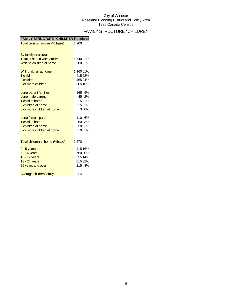## FAMILY STRUCTURE / CHILDREN

| <b>FAMILY STRUCTURE / CHILDREN Roseland</b> |           |         |
|---------------------------------------------|-----------|---------|
| Total census families (% base)              | 1,900     |         |
|                                             |           |         |
| By family structure:                        |           |         |
| <b>Total husband-wife families</b>          | 1,740 92% |         |
| With no children at home                    |           | 58031%  |
| With children at home                       | 1,16061%  |         |
| 1 child                                     |           | 41522%  |
| 2 children                                  |           | 465 24% |
| 3 or more children                          |           | 305 16% |
| Lone-parent families                        | 165       | 9%      |
| Lone male parent                            | 45        | 2%      |
| 1 child at home                             | 15        | 1%      |
| 2 children at home                          | 15        | 1%      |
| 3 or more children at home                  | 0         | 0%      |
| Lone female parent                          | 110       | 6%      |
| 1 child at home                             | 60        | 3%      |
| 2 children at home                          | 50        | 3%      |
| 3 or more children at home                  | 10        | 1%      |
| Total children at home (%base)              | 2,570     |         |
| $0 - 5$ years                               |           | 415 16% |
| $6 - 14$ years                              |           | 760 30% |
| 15 - 17 years                               |           | 355 14% |
| 18 - 24 years                               |           | 81532%  |
| 25 years and over                           |           | 215 8%  |
| Average children/family                     | 1.4       |         |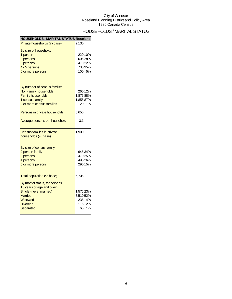## HOUSEHOLDS / MARITAL STATUS

| <b>HOUSEHOLDS / MARITAL STATUS Roseland</b>                                                                                                                                                          |                                       |                                                    |
|------------------------------------------------------------------------------------------------------------------------------------------------------------------------------------------------------|---------------------------------------|----------------------------------------------------|
| Private households (% base)                                                                                                                                                                          | 2.130                                 |                                                    |
| By size of household:<br>1 person<br>2 persons<br>3 persons<br>4 - 5 persons<br>6 or more persons                                                                                                    |                                       | 220 10%<br>605 28%<br>470 22%<br>735 35%<br>100 5% |
| By number of census families:<br>Non-family households<br><b>Family households</b><br>1 census family<br>2 or more census families<br>Persons in private households<br>Average persons per household | 1,875 88%<br>1,85587%<br>6,655<br>3.1 | 260 12%<br>20 1%                                   |
| Census families in private<br>households (% base)                                                                                                                                                    | 1,900                                 |                                                    |
| By size of census family:<br>2 person family<br>3 persons<br>4 persons<br>5 or more persons                                                                                                          |                                       | 64534%<br>470 25%<br>495 26%<br>290 15%            |
| Total population (% base)                                                                                                                                                                            | 6,705                                 |                                                    |
| By marital status, for persons<br>15 years of age and over:<br>Single (never married)<br><b>Married</b><br>Widowed<br><b>Divorced</b><br>Separated                                                   | 1,575 23%<br>3,51052%                 | 235 4%<br>115 2%<br>65 1%                          |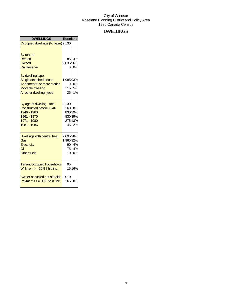### DWELLINGS

| <b>DWELLINGS</b>                   | <b>Roseland</b>       |         |
|------------------------------------|-----------------------|---------|
| Occupied dwellings (% base) 2,130  |                       |         |
|                                    |                       |         |
| By tenure:                         |                       |         |
| <b>Rented</b>                      |                       | 85 4%   |
| Owned                              | 2,035 96%             |         |
| <b>On Reserve</b>                  | 0                     | 0%      |
| By dwelling type:                  |                       |         |
| Single detached house              | 1,98593%              |         |
| Apartment 5 or more stories        | 0l                    | 0%      |
| <b>Movable dwelling</b>            |                       | 115 5%  |
| All other dwelling types           |                       | 25 1%   |
| By age of dwelling - total         | 2,130                 |         |
| <b>Constructed before 1946</b>     |                       | 160 8%  |
| 1946 - 1960                        |                       | 830 39% |
| 1961 - 1970                        |                       | 830 39% |
| 1971 - 1980                        |                       | 275 13% |
| 1981 - 1986                        |                       | 45 2%   |
|                                    |                       |         |
| Dwellings with central heat<br>Gas | 2,095 98%<br>1,96592% |         |
| Electricity                        |                       | 90 4%   |
| Oil                                |                       | 75 4%   |
| <b>Other fuels</b>                 |                       | 10 0%   |
|                                    |                       |         |
| <b>Tenant occupied households</b>  | 95                    |         |
| With rent $>=$ 30% hhld inc.       |                       | 15 16%  |
| Owner occupied households 2,010    |                       |         |
| Payments >= 30% hhld. inc.         | 165                   | 8%      |
|                                    |                       |         |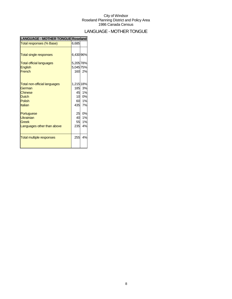## LANGUAGE - MOTHER TONGUE

| <b>LANGUAGE - MOTHER TONGUE Roseland</b> |           |        |
|------------------------------------------|-----------|--------|
| Total responses (% Base)                 | 6,685     |        |
|                                          |           |        |
| <b>Total single responses</b>            | 6,430 96% |        |
| <b>Total official languages</b>          | 5,205 78% |        |
| English                                  | 5,045 75% |        |
| French                                   |           | 160 2% |
|                                          |           |        |
| <b>Total non-official languages</b>      | 1,215 18% |        |
| German                                   |           | 185 3% |
| <b>Chinese</b>                           |           | 45 1%  |
| <b>Dutch</b>                             | 10        | 0%     |
| Polish                                   |           | 60 1%  |
| Italian                                  |           | 435 7% |
| Portuguese                               | 25        | 0%     |
| Ukrainian                                | 40        | 1%     |
| Greek                                    | 55        | 1%     |
| Languages other than above               | 235       | 4%     |
|                                          |           |        |
| <b>Total multiple responses</b>          | 255       | 4%     |
|                                          |           |        |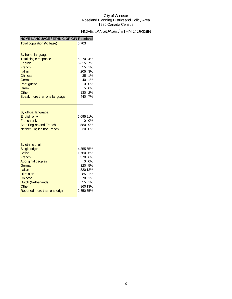## HOME LANGUAGE / ETHNIC ORIGIN

| HOME LANGUAGE / ETHNIC ORIGIN Roseland |           |         |
|----------------------------------------|-----------|---------|
| Total population (% base)              | 6,703     |         |
|                                        |           |         |
| By home language:                      |           |         |
| <b>Total single response</b>           | 6,270 94% |         |
| <b>English</b>                         | 5,81587%  |         |
| French                                 | 55        | 1%      |
| Italian                                | 205       | 3%      |
| <b>Chinese</b>                         | 35        | 1%      |
| German                                 | 40        | 1%      |
| Portuguese                             | 0         | 0%      |
| <b>Greek</b>                           |           | 5 0%    |
| Other                                  |           | 130 2%  |
| Speak more than one language           |           | 440 7%  |
|                                        |           |         |
|                                        |           |         |
| By official language:                  |           |         |
| <b>English only</b>                    | 6,09591%  |         |
| <b>French only</b>                     | 0         | 0%      |
| <b>Both English and French</b>         | 580       | 9%      |
| <b>Neither English nor French</b>      | 30        | 0%      |
|                                        |           |         |
|                                        |           |         |
| By ethnic origin:                      |           |         |
| Single origin                          | 4,355 65% |         |
| <b>British</b>                         | 1,760 26% |         |
| French                                 | 370 l     | 6%      |
| <b>Aboriginal peoples</b>              | 0l        | 0%      |
| German                                 |           | 320 5%  |
| Italian                                |           | 820 12% |
| Ukrainian                              |           | 85 1%   |
| <b>Chinese</b>                         |           | 70 1%   |
| Dutch (Netherlands)                    | 55        | 1%      |
| Other                                  |           | 860 13% |
| Reported more than one origin          | 2,350 35% |         |
|                                        |           |         |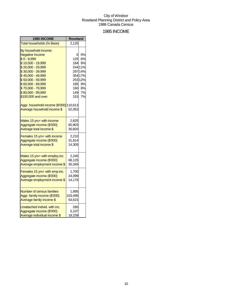### 1985 INCOME

| 1985 INCOME                             | <b>Roseland</b> |         |
|-----------------------------------------|-----------------|---------|
| Total households (% Base)               | 2,125           |         |
| By household income:                    |                 |         |
| <b>Negative Income</b>                  | 0               | 0%      |
| $$0 - 9,999$                            | 125             | 6%      |
| \$10,000 - 19,999                       | 184             | 9%      |
| \$20,000 - 29,999                       |                 | 244 11% |
| \$30,000 - 39,999                       |                 | 297 14% |
| \$40,000 - 49,999                       |                 | 354 17% |
| \$50,000 - 59,999                       |                 | 253 12% |
| \$60,000 - 69,999                       | 185             | 9%      |
| \$70,000 - 79,999                       | 160             | 8%      |
| \$80,000 - 99,999                       | 149             | 7%      |
| \$100,000 and over                      | 153             | 7%      |
| Aggr. household income (\$'000) 110,613 |                 |         |
| Average household income \$             | 52,053          |         |
| Males 15 yrs+ with income               | 2,625           |         |
| Aggregate income (\$'000)               | 80,903          |         |
| Average total income \$                 | 30,820          |         |
| Females 15 yrs+ with income             | 2,210           |         |
| Aggregate income (\$'000)               | 31,614          |         |
| Average total income \$                 | 14,305          |         |
| Males 15 yrs+ with employ.inc           | 2,245           |         |
| Aggregate income (\$'000)               | 68,125          |         |
| Average employment income \$            | 30,345          |         |
|                                         |                 |         |
| Females 15 yrs+ with emp.inc.           | 1,700           |         |
| Aggregate income (\$'000)               | 24,099          |         |
| Average employment income \$            | 14,176          |         |
| <b>Number of census families</b>        | 1,895           |         |
| Aggr. family income (\$'000)            | 103,495         |         |
| Average family income \$                | 54,615          |         |
| Unattached individ, with inc.           | 280             |         |
| Aggregate income (\$'000)               | 5,107           |         |
| Average individual income \$            | 18,239          |         |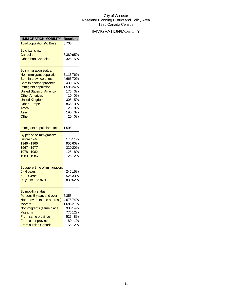## IMMIGRATION/MOBILITY

| <b>IMMIGRATION/MOBILITY</b>      | <b>Roseland</b> |         |
|----------------------------------|-----------------|---------|
| <b>Total population (% Base)</b> | 6,705           |         |
| By citizenship:                  |                 |         |
| Canadian                         | 6,38095%        |         |
| <b>Other than Canadian</b>       | 325             | 5%      |
|                                  |                 |         |
| By immigration status:           |                 |         |
| Non-immigrant population         | 5,11576%        |         |
| Born in province of res.         | 4,665 70%       |         |
| Born in another province         | 430             | 6%      |
| Immigrant population             | 1,595 24%       |         |
| <b>United States of America</b>  | 175             | 3%      |
| <b>Other Americas</b>            |                 | 10 0%   |
| <b>United Kingdom</b>            | 305             | 5%      |
| <b>Other Europe</b>              |                 | 865 13% |
| Africa                           | 20              | 0%      |
| Asia                             | 190             | 3%      |
| Other                            | 20              | 0%      |
| Immigrant population - total     | 1,595           |         |
| By period of immigration:        |                 |         |
| Before 1946                      |                 | 175 11% |
| 1946 - 1966                      |                 | 95560%  |
| 1967 - 1977                      |                 | 320 20% |
| 1978 - 1982                      | 125             | 8%      |
| 1983 - 1986                      | 25              | 2%      |
|                                  |                 |         |
| By age at time of immigration:   |                 |         |
| $0 - 4$ years                    |                 | 245 15% |
| 5 - 19 years                     |                 | 52533%  |
| 20 years and over                |                 | 83052%  |
| By mobility status:              |                 |         |
| Persons 5 years and over         | 6,355           |         |
| Non-movers (same address)        | 4,675 74%       |         |
| <b>Movers</b>                    | 1,685 27%       |         |
| Non-migrants (same place)        |                 | 900 14% |
| <b>Migrants</b>                  |                 | 775 12% |
| From same province               | 525             | 8%      |
| From other province              | 80              | 1%      |
| From outside Canada              | 155             | 2%      |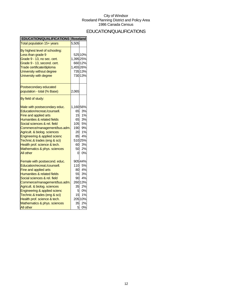## EDUCATION/QUALIFICATIONS

| <b>EDUCATION/QUALIFICATIONS Roseland</b>                                                                                                                                                                                                                                                                                                                                  |                                                                        |                                                                                    |
|---------------------------------------------------------------------------------------------------------------------------------------------------------------------------------------------------------------------------------------------------------------------------------------------------------------------------------------------------------------------------|------------------------------------------------------------------------|------------------------------------------------------------------------------------|
| Total population 15+ years                                                                                                                                                                                                                                                                                                                                                | 5,505                                                                  |                                                                                    |
| By highest level of schooling:<br>Less than grade 9<br>Grade 9 - 13, no sec. cert.<br>Grade 9 - 13, second. cert.<br>Trade certificate/diploma<br>University without degree<br>University with degree                                                                                                                                                                     | 1,395 25%<br>1,455 26%                                                 | 525 10%<br>660 12%<br>735 13%<br>730 13%                                           |
| Postsecondary educated<br>population - total (% Base)                                                                                                                                                                                                                                                                                                                     | 2,065                                                                  |                                                                                    |
| By field of study:                                                                                                                                                                                                                                                                                                                                                        |                                                                        |                                                                                    |
| Male with postsecondary educ.<br>Education/recreat./counsell.<br>Fine and applied arts<br>Humanities & related fields<br>Social sciences & rel. field<br>Commerce/management/bus.adm.<br>Agricult. & biolog. sciences<br>Engineering & applied scienc<br>Technic.& trades (eng & sci)<br>Health prof. science & tech.<br>Mathematics & phys. sciences<br>All other        | 1,160 56%<br>65<br>15<br>65<br>105<br>190<br>20<br>85<br>60<br>50<br>0 | 3%<br>1%<br>3%<br>5%<br>9%<br>1%<br>4%<br>51025%<br>3%<br>2%<br>0%                 |
| Female with postsecond. educ.<br>Education/recreat./counsell.<br>Fine and applied arts<br>Humanities & related fields<br>Social sciences & rel. field<br>Commerce/management/bus.adm.<br>Agricult. & biolog. sciences<br>Engineering & applied scienc<br>Technic.& trades (eng & sci)<br>Health prof. science & tech.<br>Mathematics & phys. sciences<br><b>All other</b> | 110<br>80<br>55<br>90<br>35<br>5 <br>15<br>35<br>5                     | 90544%<br>5%<br>4%<br>3%<br>4%<br>260 13%<br>2%<br>0%<br>1%<br>205 10%<br>2%<br>0% |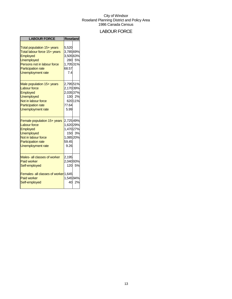## LABOUR FORCE

| <b>LABOUR FORCE</b>                                                                                                                                                                        | <b>Roseland</b>                                                  |                   |
|--------------------------------------------------------------------------------------------------------------------------------------------------------------------------------------------|------------------------------------------------------------------|-------------------|
| Total population 15+ years<br>Total labour force 15+ years<br><b>Employed</b><br><b>Unemployed</b><br>Persons not in labour force<br><b>Participation rate</b><br><b>Unemployment rate</b> | 5,520<br>3,785 69%<br>3,505 63%<br>1,70531%<br>68.57<br>7.4      | 280 5%            |
| Male population 15+ years<br><b>Labour force</b><br><b>Employed</b><br><b>Unemployed</b><br>Not in labour force<br><b>Participation rate</b><br><b>Unemployment rate</b>                   | 2,795 51%<br>2,170 39%<br>2,03537%<br>77.64<br>5.99              | 130 2%<br>620 11% |
| Female population 15+ years<br><b>Labour force</b><br><b>Employed</b><br><b>Unemployed</b><br>Not in labour force<br><b>Participation rate</b><br><b>Unemployment rate</b>                 | 2,72549%<br>1,620 29%<br>1,470 27%<br>1,085 20%<br>59.45<br>9.26 | 150 3%            |
| Males- all classes of worker<br><b>Paid worker</b><br>Self-employed<br>Females- all classes of worker 1,645<br><b>Paid worker</b><br>Self-employed                                         | 2,195<br>2,040 93%<br>1,545 94%                                  | 120 5%<br>40 2%   |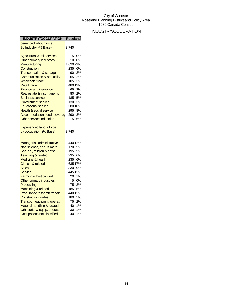## INDUSTRY/OCCUPATION

| <b>INDUSTRY/OCCUPATION</b>             | <b>Roseland</b> |         |
|----------------------------------------|-----------------|---------|
| perienced labour force                 |                 |         |
| By Industry: (% Base)                  | 3,740           |         |
| <b>Agricultural &amp; rel.services</b> | 15              | 0%      |
| Other primary industries               | 10              | 0%      |
| Manufacturing                          | 1,090 29%       |         |
| Construction                           | 235             | 6%      |
| <b>Transportation &amp; storage</b>    | 90              | 2%      |
| Communication & oth. utility           | 65              | 2%      |
| <b>Wholesale trade</b>                 | 105             | 3%      |
| <b>Retail trade</b>                    |                 | 480 13% |
| <b>Finance and insurance</b>           | 65              | 2%      |
| Real estate & insur. agents            | 80              | 2%      |
| <b>Business service</b>                | 185             | 5%      |
| Government service                     | 130             | 3%      |
| <b>Educational service</b>             |                 | 380 10% |
| <b>Health &amp; social service</b>     | 295             | 8%      |
| Accommodation, food, beverag           | 290             | 8%      |
| Other service industries               | 215             | 6%      |
| <b>Experienced labour force</b>        |                 |         |
| by occupation: (% Base)                | 3,740           |         |
| Managerial, administrative             |                 | 440 12% |
| Nat. science, eng. & math.             | 170             | 5%      |
| Soc. sc., religion & artist.           | 195             | 5%      |
| <b>Teaching &amp; related</b>          | 235             | 6%      |
| Medicine & health                      | 235             | 6%      |
| <b>Clerical &amp; related</b>          |                 | 635 17% |
| <b>Sales</b>                           | 330             | 9%      |
| Service                                |                 | 445 12% |
| <b>Farming &amp; horticultural</b>     | 20              | 1%      |
| Other primary industries               | 5               | 0%      |
| Processing                             | 75              | 2%      |
| Machining & related                    | 185             | 5%      |
| Prod. fabric./assemb./repair           |                 | 440 12% |
| <b>Construction trades</b>             | 180             | 5%      |
| Transport equipmnt. operat.            | 75              | 2%      |
| Material handling & related            | 40              | 1%      |
| Oth. crafts & equip. operat.           | 30              | 1%      |
| Occupations not classified             | 40              | 1%      |
|                                        |                 |         |